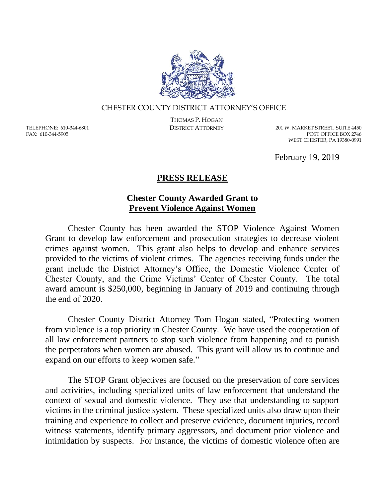

## CHESTER COUNTY DISTRICT ATTORNEY'S OFFICE

TELEPHONE: 610-344-6801 FAX: 610-344-5905

THOMAS P. HOGAN

DISTRICT ATTORNEY 201 W. MARKET STREET, SUITE 4450 POST OFFICE BOX 2746 WEST CHESTER, PA 19380-0991

February 19, 2019

## **PRESS RELEASE**

## **Chester County Awarded Grant to Prevent Violence Against Women**

Chester County has been awarded the STOP Violence Against Women Grant to develop law enforcement and prosecution strategies to decrease violent crimes against women. This grant also helps to develop and enhance services provided to the victims of violent crimes. The agencies receiving funds under the grant include the District Attorney's Office, the Domestic Violence Center of Chester County, and the Crime Victims' Center of Chester County. The total award amount is \$250,000, beginning in January of 2019 and continuing through the end of 2020.

Chester County District Attorney Tom Hogan stated, "Protecting women from violence is a top priority in Chester County. We have used the cooperation of all law enforcement partners to stop such violence from happening and to punish the perpetrators when women are abused. This grant will allow us to continue and expand on our efforts to keep women safe."

The STOP Grant objectives are focused on the preservation of core services and activities, including specialized units of law enforcement that understand the context of sexual and domestic violence. They use that understanding to support victims in the criminal justice system. These specialized units also draw upon their training and experience to collect and preserve evidence, document injuries, record witness statements, identify primary aggressors, and document prior violence and intimidation by suspects. For instance, the victims of domestic violence often are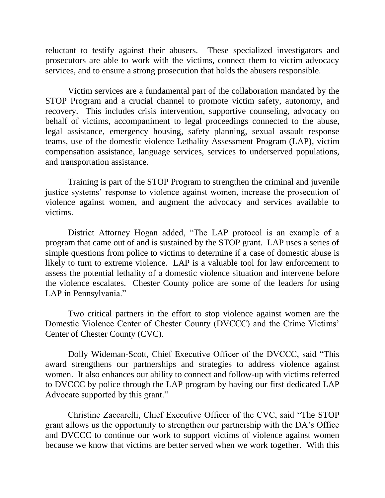reluctant to testify against their abusers. These specialized investigators and prosecutors are able to work with the victims, connect them to victim advocacy services, and to ensure a strong prosecution that holds the abusers responsible.

Victim services are a fundamental part of the collaboration mandated by the STOP Program and a crucial channel to promote victim safety, autonomy, and recovery. This includes crisis intervention, supportive counseling, advocacy on behalf of victims, accompaniment to legal proceedings connected to the abuse, legal assistance, emergency housing, safety planning, sexual assault response teams, use of the domestic violence Lethality Assessment Program (LAP), victim compensation assistance, language services, services to underserved populations, and transportation assistance.

Training is part of the STOP Program to strengthen the criminal and juvenile justice systems' response to violence against women, increase the prosecution of violence against women, and augment the advocacy and services available to victims.

District Attorney Hogan added, "The LAP protocol is an example of a program that came out of and is sustained by the STOP grant. LAP uses a series of simple questions from police to victims to determine if a case of domestic abuse is likely to turn to extreme violence. LAP is a valuable tool for law enforcement to assess the potential lethality of a domestic violence situation and intervene before the violence escalates. Chester County police are some of the leaders for using LAP in Pennsylvania."

Two critical partners in the effort to stop violence against women are the Domestic Violence Center of Chester County (DVCCC) and the Crime Victims' Center of Chester County (CVC).

Dolly Wideman-Scott, Chief Executive Officer of the DVCCC, said "This award strengthens our partnerships and strategies to address violence against women. It also enhances our ability to connect and follow-up with victims referred to DVCCC by police through the LAP program by having our first dedicated LAP Advocate supported by this grant."

Christine Zaccarelli, Chief Executive Officer of the CVC, said "The STOP grant allows us the opportunity to strengthen our partnership with the DA's Office and DVCCC to continue our work to support victims of violence against women because we know that victims are better served when we work together. With this